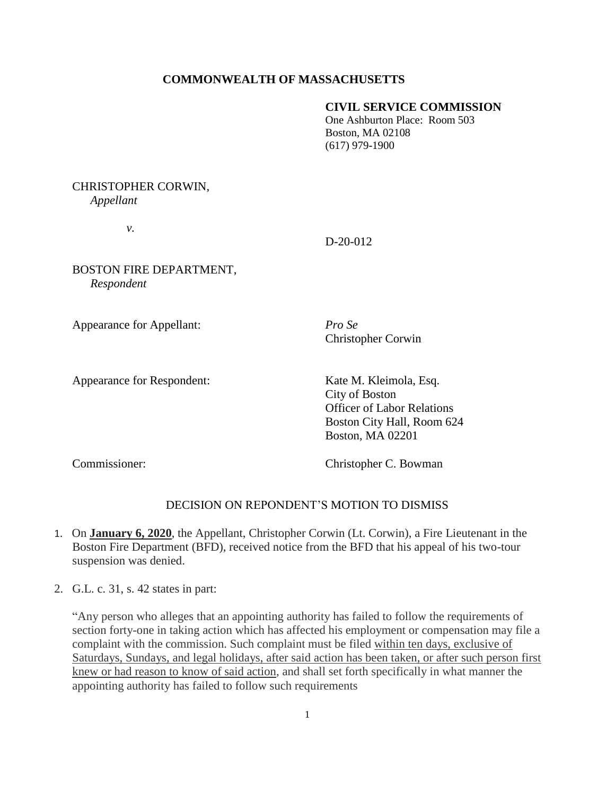# **COMMONWEALTH OF MASSACHUSETTS**

#### **CIVIL SERVICE COMMISSION**

One Ashburton Place: Room 503 Boston, MA 02108 (617) 979-1900

# CHRISTOPHER CORWIN, *Appellant*

*v.*

### D-20-012

BOSTON FIRE DEPARTMENT, *Respondent* 

Appearance for Appellant: *Pro Se*

Christopher Corwin

Appearance for Respondent: Kate M. Kleimola, Esq.

City of Boston Officer of Labor Relations Boston City Hall, Room 624 Boston, MA 02201

Commissioner: Christopher C. Bowman

# DECISION ON REPONDENT'S MOTION TO DISMISS

- 1. On **January 6, 2020**, the Appellant, Christopher Corwin (Lt. Corwin), a Fire Lieutenant in the Boston Fire Department (BFD), received notice from the BFD that his appeal of his two-tour suspension was denied.
- 2. G.L. c. 31, s. 42 states in part:

"Any person who alleges that an appointing authority has failed to follow the requirements of section forty-one in taking action which has affected his employment or compensation may file a complaint with the commission. Such complaint must be filed within ten days, exclusive of Saturdays, Sundays, and legal holidays, after said action has been taken, or after such person first knew or had reason to know of said action, and shall set forth specifically in what manner the appointing authority has failed to follow such requirements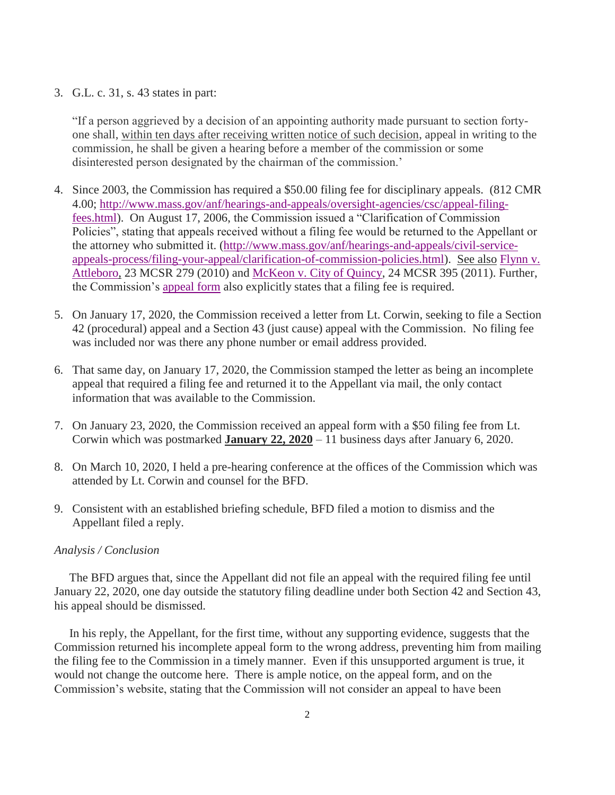# 3. G.L. c. 31, s. 43 states in part:

"If a person aggrieved by a decision of an appointing authority made pursuant to section fortyone shall, within ten days after receiving written notice of such decision, appeal in writing to the commission, he shall be given a hearing before a member of the commission or some disinterested person designated by the chairman of the commission.'

- 4. Since 2003, the Commission has required a \$50.00 filing fee for disciplinary appeals. (812 CMR 4.00; [http://www.mass.gov/anf/hearings-and-appeals/oversight-agencies/csc/appeal-filing](http://www.mass.gov/anf/hearings-and-appeals/oversight-agencies/csc/appeal-filing-fees.html)[fees.html\)](http://www.mass.gov/anf/hearings-and-appeals/oversight-agencies/csc/appeal-filing-fees.html). On August 17, 2006, the Commission issued a "Clarification of Commission Policies", stating that appeals received without a filing fee would be returned to the Appellant or the attorney who submitted it. [\(http://www.mass.gov/anf/hearings-and-appeals/civil-service](http://www.mass.gov/anf/hearings-and-appeals/civil-service-appeals-process/filing-your-appeal/clarification-of-commission-policies.html)[appeals-process/filing-your-appeal/clarification-of-commission-policies.html\)](http://www.mass.gov/anf/hearings-and-appeals/civil-service-appeals-process/filing-your-appeal/clarification-of-commission-policies.html). See also [Flynn v.](http://www.mass.gov/anf/docs/csc/decisions/other/flynn-michael-050610.pdf)  [Attleboro,](http://www.mass.gov/anf/docs/csc/decisions/other/flynn-michael-050610.pdf) 23 MCSR 279 (2010) and [McKeon v. City of Quincy,](http://www.mass.gov/anf/docs/csc/decisions/discipline/mckeon-william-072811.pdf) 24 MCSR 395 (2011). Further, the Commission's [appeal form](http://www.mass.gov/anf/docs/csc/forms/discipline-appeal.pdf) also explicitly states that a filing fee is required.
- 5. On January 17, 2020, the Commission received a letter from Lt. Corwin, seeking to file a Section 42 (procedural) appeal and a Section 43 (just cause) appeal with the Commission. No filing fee was included nor was there any phone number or email address provided.
- 6. That same day, on January 17, 2020, the Commission stamped the letter as being an incomplete appeal that required a filing fee and returned it to the Appellant via mail, the only contact information that was available to the Commission.
- 7. On January 23, 2020, the Commission received an appeal form with a \$50 filing fee from Lt. Corwin which was postmarked **January 22, 2020** – 11 business days after January 6, 2020.
- 8. On March 10, 2020, I held a pre-hearing conference at the offices of the Commission which was attended by Lt. Corwin and counsel for the BFD.
- 9. Consistent with an established briefing schedule, BFD filed a motion to dismiss and the Appellant filed a reply.

#### *Analysis / Conclusion*

 The BFD argues that, since the Appellant did not file an appeal with the required filing fee until January 22, 2020, one day outside the statutory filing deadline under both Section 42 and Section 43, his appeal should be dismissed.

 In his reply, the Appellant, for the first time, without any supporting evidence, suggests that the Commission returned his incomplete appeal form to the wrong address, preventing him from mailing the filing fee to the Commission in a timely manner. Even if this unsupported argument is true, it would not change the outcome here. There is ample notice, on the appeal form, and on the Commission's website, stating that the Commission will not consider an appeal to have been